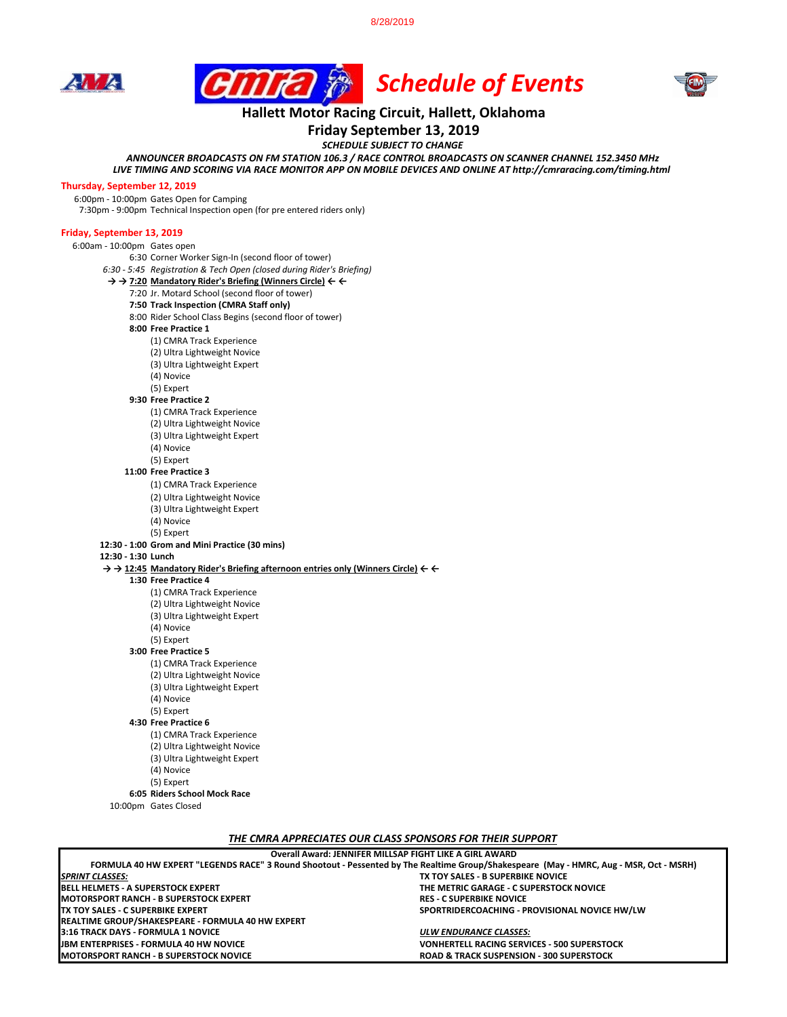8/28/2019







## **Hallett Motor Racing Circuit, Hallett, Oklahoma**

**Friday September 13, 2019**

*SCHEDULE SUBJECT TO CHANGE*

*ANNOUNCER BROADCASTS ON FM STATION 106.3 / RACE CONTROL BROADCASTS ON SCANNER CHANNEL 152.3450 MHz LIVE TIMING AND SCORING VIA RACE MONITOR APP ON MOBILE DEVICES AND ONLINE AT http://cmraracing.com/timing.html* 

## **Thursday, September 12, 2019**

6:00pm - 10:00pm Gates Open for Camping

## **Friday, September 13, 2019**

7:30pm - 9:00pm Technical Inspection open (for pre entered riders only) 6:00am - 10:00pm Gates open 6:30 Corner Worker Sign-In (second floor of tower) *6:30 - 5:45 Registration & Tech Open (closed during Rider's Briefing)* **→ → 7:20 Mandatory Rider's Briefing (Winners Circle) ← ←** 7:20 Jr. Motard School (second floor of tower) **7:50 Track Inspection (CMRA Staff only)** 8:00 Rider School Class Begins (second floor of tower) **8:00 Free Practice 1**  (1) CMRA Track Experience (2) Ultra Lightweight Novice (3) Ultra Lightweight Expert (4) Novice (5) Expert **9:30 Free Practice 2**  (1) CMRA Track Experience (2) Ultra Lightweight Novice (3) Ultra Lightweight Expert (4) Novice (5) Expert **11:00 Free Practice 3**  (1) CMRA Track Experience (2) Ultra Lightweight Novice (3) Ultra Lightweight Expert (4) Novice (5) Expert **12:30 - 1:00 Grom and Mini Practice (30 mins) 12:30 - 1:30 Lunch → → 12:45 Mandatory Rider's Briefing afternoon entries only (Winners Circle) ← ← 1:30 Free Practice 4**  (1) CMRA Track Experience (2) Ultra Lightweight Novice (3) Ultra Lightweight Expert (4) Novice

(5) Expert

**3:00 Free Practice 5**

(1) CMRA Track Experience (2) Ultra Lightweight Novice

(3) Ultra Lightweight Expert

(4) Novice

(5) Expert

**4:30 Free Practice 6**

(1) CMRA Track Experience (2) Ultra Lightweight Novice (3) Ultra Lightweight Expert

(4) Novice

(5) Expert

**6:05 Riders School Mock Race**

10:00pm Gates Closed

*THE CMRA APPRECIATES OUR CLASS SPONSORS FOR THEIR SUPPORT*

| Overall Award: JENNIFER MILLSAP FIGHT LIKE A GIRL AWARD                                                                                |                                                     |
|----------------------------------------------------------------------------------------------------------------------------------------|-----------------------------------------------------|
| FORMULA 40 HW EXPERT "LEGENDS RACE" 3 Round Shootout - Pessented by The Realtime Group/Shakespeare (May - HMRC, Aug - MSR, Oct - MSRH) |                                                     |
| <b>SPRINT CLASSES:</b>                                                                                                                 | TX TOY SALES - B SUPERBIKE NOVICE                   |
| <b>BELL HELMETS - A SUPERSTOCK EXPERT</b>                                                                                              | THE METRIC GARAGE - C SUPERSTOCK NOVICE             |
| <b>IMOTORSPORT RANCH - B SUPERSTOCK EXPERT</b>                                                                                         | <b>RES - C SUPERBIKE NOVICE</b>                     |
| <b>ITX TOY SALES - C SUPERBIKE EXPERT</b>                                                                                              | SPORTRIDERCOACHING - PROVISIONAL NOVICE HW/LW       |
| REALTIME GROUP/SHAKESPEARE - FORMULA 40 HW EXPERT                                                                                      |                                                     |
| 3:16 TRACK DAYS - FORMULA 1 NOVICE                                                                                                     | <b>ULW ENDURANCE CLASSES:</b>                       |
| <b>JBM ENTERPRISES - FORMULA 40 HW NOVICE</b>                                                                                          | <b>VONHERTELL RACING SERVICES - 500 SUPERSTOCK</b>  |
| <b>MOTORSPORT RANCH - B SUPERSTOCK NOVICE</b>                                                                                          | <b>ROAD &amp; TRACK SUSPENSION - 300 SUPERSTOCK</b> |